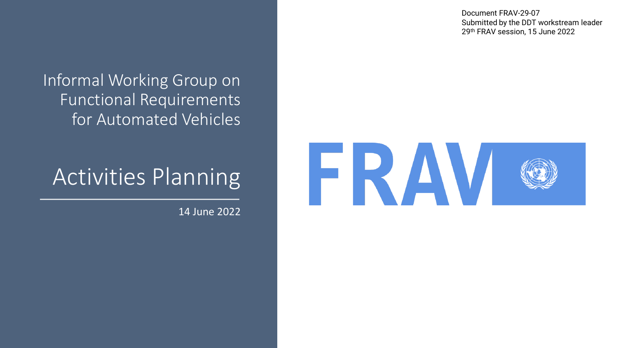Document FRAV-29-07 Submitted by the DDT workstream leader 29th FRAV session, 15 June 2022

#### Informal Working Group on Functional Requirements for Automated Vehicles

### Activities Planning

14 June 2022

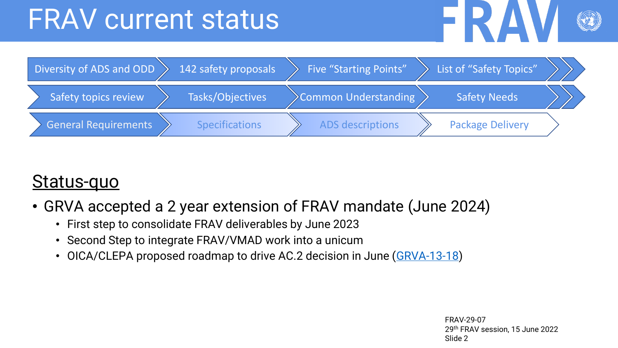## FRAV current status





#### Status-quo

- GRVA accepted a 2 year extension of FRAV mandate (June 2024)
	- First step to consolidate FRAV deliverables by June 2023
	- Second Step to integrate FRAV/VMAD work into a unicum
	- OICA/CLEPA proposed roadmap to drive AC.2 decision in June ([GRVA-13-18\)](https://nam11.safelinks.protection.outlook.com/?url=https%3A%2F%2Funece.org%2Fsites%2Fdefault%2Ffiles%2F2022-05%2FGRVA-13-18e.pdf&data=05%7C01%7Cmoldoni%40nvidia.com%7Ca182322803624326665208da488fc863%7C43083d15727340c1b7db39efd9ccc17a%7C0%7C0%7C637902079820181853%7CUnknown%7CTWFpbGZsb3d8eyJWIjoiMC4wLjAwMDAiLCJQIjoiV2luMzIiLCJBTiI6Ik1haWwiLCJXVCI6Mn0%3D%7C3000%7C%7C%7C&sdata=PQIXHeE78N61bqsmdENE47LuDov4W%2Fg9OtZ2xUY8a1w%3D&reserved=0)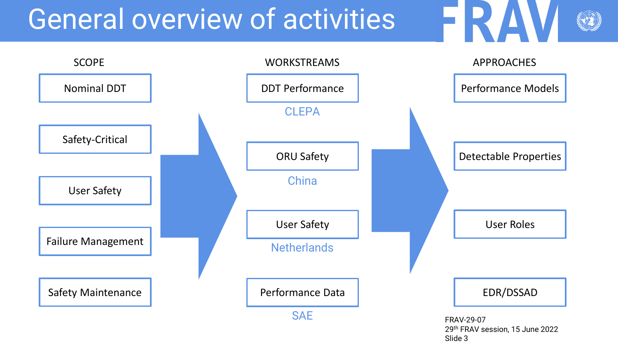## General overview of activities



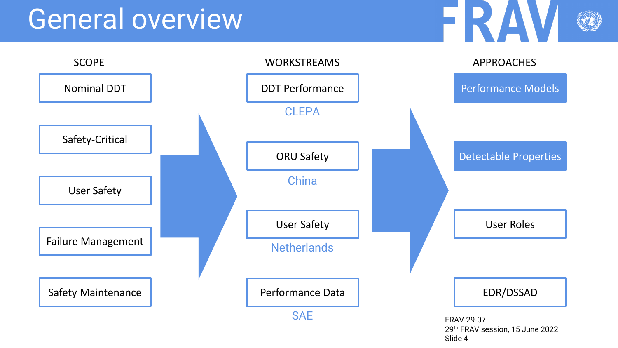

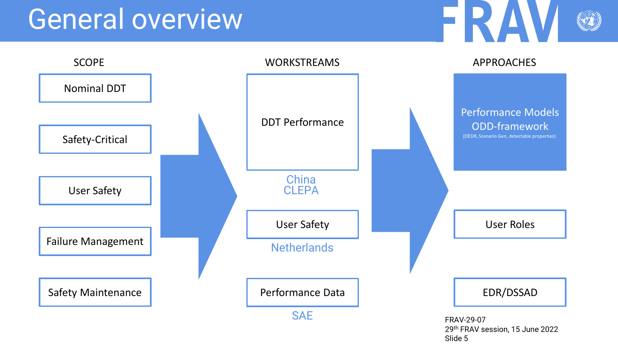

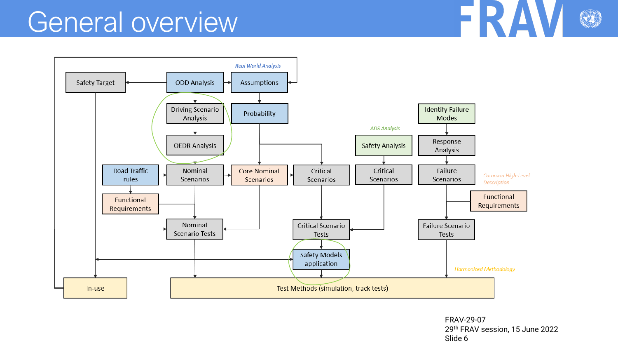

FRAV-29-07 29th FRAV session, 15 June 2022 Slide 6

FRA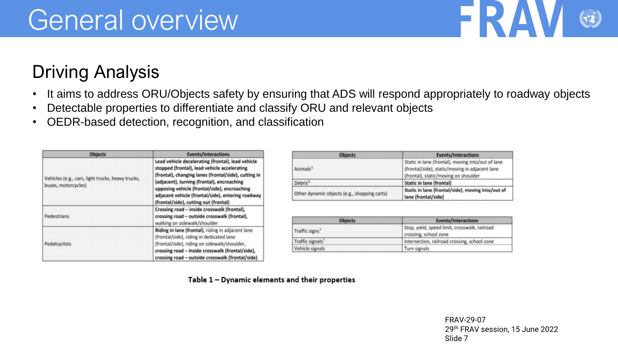#### Driving Analysis

- It aims to address ORU/Objects safety by ensuring that ADS will respond appropriately to roadway objects
- Detectable properties to differentiate and classify ORU and relevant objects
- OEDR-based detection, recognition, and classification

| <b>Objects</b>                                                           | <b>Events/Interactions</b>                                                                                                                                                                                                                                                                                                                            |
|--------------------------------------------------------------------------|-------------------------------------------------------------------------------------------------------------------------------------------------------------------------------------------------------------------------------------------------------------------------------------------------------------------------------------------------------|
| Vehicles (e.g., cars, light trucks, heavy trucks,<br>buses, motorcycles) | Lead vehicle decelerating (frontal), lead vehicle<br>stopped (frontal), lead vehicle accelerating<br>(frontal), changing lanes (frontal/side), cutting in<br>(adjacent), turning (frontal), encroaching<br>opposing vehicle (frontal/side), encroaching<br>adjacent vehicle (frontal/side), entering roadway<br>(frontal/side), cutting out (frontal) |
| Pedestrians                                                              | Crossing road - inside crosswalk (frontal),<br>crossing road - outside crosswalk (frontal),<br>walking on sidewalk/shoulder                                                                                                                                                                                                                           |
| Pedalcyclists                                                            | Riding in lane (frontal), riding in adjacent lane<br>(frontal/side), riding in dedicated lane<br>(frontal/side), riding on sidewalk/shoulder,<br>crossing road - inside crosswalk (frontal/side),<br>crossing road - outside crosswalk (frontal/side)                                                                                                 |

| <b>Objects</b>                               | <b>Events/Interactions</b>                                                                                                                  |
|----------------------------------------------|---------------------------------------------------------------------------------------------------------------------------------------------|
| Animals <sup>5</sup>                         | Static in lane (frontal), moving into/out of lane<br>(frontal/side), static/moving in adjacent lane<br>(frontal), static/moving on shoulder |
| Debris <sup>6</sup>                          | Static in lane (frontal)                                                                                                                    |
| Other dynamic objects (e.g., shopping carts) | Static in lane (frontal/side), moving into/out of<br>lane (frontal/side)                                                                    |

| <b>Objects</b>               | Events/Interactions                                                    |
|------------------------------|------------------------------------------------------------------------|
| Traffic signs <sup>7</sup>   | Stop, yield, speed limit, crosswalk, railroad<br>crossing, school zone |
| Traffic signals <sup>7</sup> | Intersection, railroad crossing, school zone                           |
| Vehicle signals              | Turn signals                                                           |

Table 1 - Dynamic elements and their properties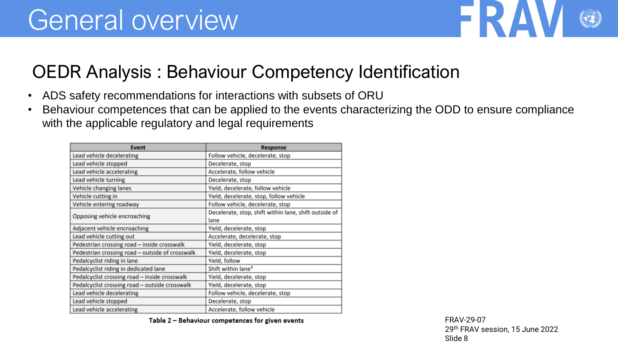

#### OEDR Analysis : Behaviour Competency Identification

- ADS safety recommendations for interactions with subsets of ORU
- Behaviour competences that can be applied to the events characterizing the ODD to ensure compliance with the applicable regulatory and legal requirements

| <b>Event</b>                                    | <b>Response</b>                                       |
|-------------------------------------------------|-------------------------------------------------------|
| Lead vehicle decelerating                       | Follow vehicle, decelerate, stop                      |
| Lead vehicle stopped                            | Decelerate, stop                                      |
| Lead vehicle accelerating                       | Accelerate, follow vehicle                            |
| Lead vehicle turning                            | Decelerate, stop                                      |
| Vehicle changing lanes                          | Yield, decelerate, follow vehicle                     |
| Vehicle cutting in                              | Yield, decelerate, stop, follow vehicle               |
| Vehicle entering roadway                        | Follow vehicle, decelerate, stop                      |
|                                                 | Decelerate, stop, shift within lane, shift outside of |
| Opposing vehicle encroaching                    | lane                                                  |
| Adjacent vehicle encroaching                    | Yield, decelerate, stop                               |
| Lead vehicle cutting out                        | Accelerate, decelerate, stop                          |
| Pedestrian crossing road - inside crosswalk     | Yield, decelerate, stop                               |
| Pedestrian crossing road - outside of crosswalk | Yield, decelerate, stop                               |
| Pedalcyclist riding in lane                     | Yield, follow                                         |
| Pedalcyclist riding in dedicated lane           | Shift within lane <sup>9</sup>                        |
| Pedalcyclist crossing road - inside crosswalk   | Yield, decelerate, stop                               |
| Pedalcyclist crossing road - outside crosswalk  | Yield, decelerate, stop                               |
| Lead vehicle decelerating                       | Follow vehicle, decelerate, stop                      |
| Lead vehicle stopped                            | Decelerate, stop                                      |
| Lead vehicle accelerating                       | Accelerate, follow vehicle                            |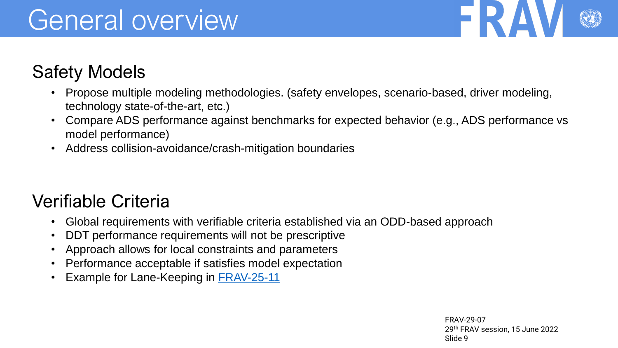

#### Safety Models

- Propose multiple modeling methodologies. (safety envelopes, scenario-based, driver modeling, technology state-of-the-art, etc.)
- Compare ADS performance against benchmarks for expected behavior (e.g., ADS performance vs model performance)
- Address collision-avoidance/crash-mitigation boundaries

#### Verifiable Criteria

- Global requirements with verifiable criteria established via an ODD-based approach
- DDT performance requirements will not be prescriptive
- Approach allows for local constraints and parameters
- Performance acceptable if satisfies model expectation
- Example for Lane-Keeping in [FRAV-25-11](https://wiki.unece.org/download/attachments/155975884/FRAV-25-11.xlsx?api=v2)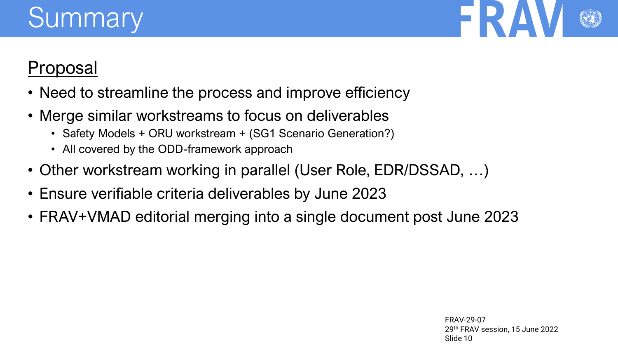# **Summary**



#### Proposal

- Need to streamline the process and improve efficiency
- Merge similar workstreams to focus on deliverables
	- Safety Models + ORU workstream + (SG1 Scenario Generation?)
	- All covered by the ODD-framework approach
- Other workstream working in parallel (User Role, EDR/DSSAD, …)
- Ensure verifiable criteria deliverables by June 2023
- FRAV+VMAD editorial merging into a single document post June 2023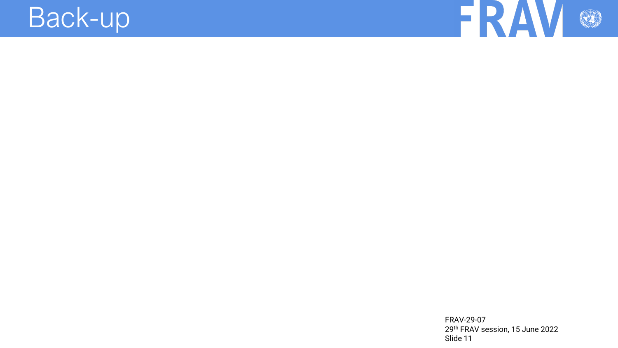### Back-up

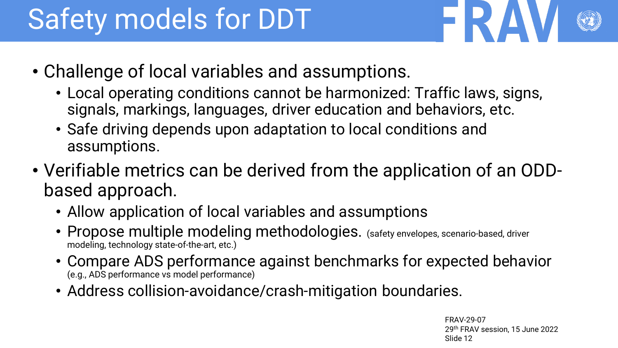# Safety models for DDT

- 
- Challenge of local variables and assumptions.
	- Local operating conditions cannot be harmonized: Traffic laws, signs, signals, markings, languages, driver education and behaviors, etc.
	- Safe driving depends upon adaptation to local conditions and assumptions.
- Verifiable metrics can be derived from the application of an ODDbased approach.
	- Allow application of local variables and assumptions
	- Propose multiple modeling methodologies. (safety envelopes, scenario-based, driver modeling, technology state-of-the-art, etc.)
	- Compare ADS performance against benchmarks for expected behavior (e.g., ADS performance vs model performance)
	- Address collision-avoidance/crash-mitigation boundaries.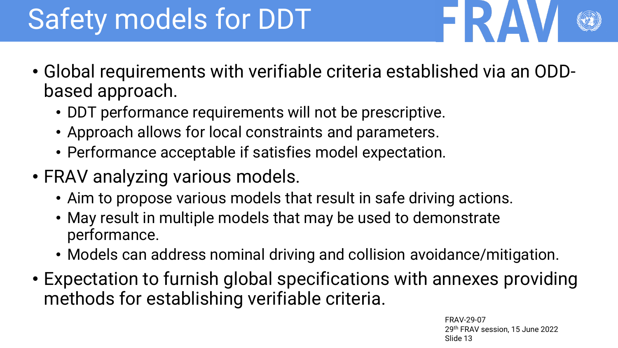# Safety models for DDT

- 
- Global requirements with verifiable criteria established via an ODDbased approach.
	- DDT performance requirements will not be prescriptive.
	- Approach allows for local constraints and parameters.
	- Performance acceptable if satisfies model expectation.
- FRAV analyzing various models.
	- Aim to propose various models that result in safe driving actions.
	- May result in multiple models that may be used to demonstrate performance.
	- Models can address nominal driving and collision avoidance/mitigation.
- Expectation to furnish global specifications with annexes providing methods for establishing verifiable criteria.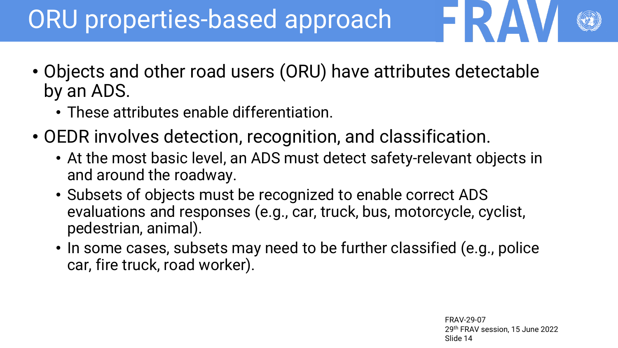### ORU properties-based approach

- Objects and other road users (ORU) have attributes detectable by an ADS.
	- These attributes enable differentiation.
- OEDR involves detection, recognition, and classification.
	- At the most basic level, an ADS must detect safety-relevant objects in and around the roadway.
	- Subsets of objects must be recognized to enable correct ADS evaluations and responses (e.g., car, truck, bus, motorcycle, cyclist, pedestrian, animal).
	- In some cases, subsets may need to be further classified (e.g., police car, fire truck, road worker).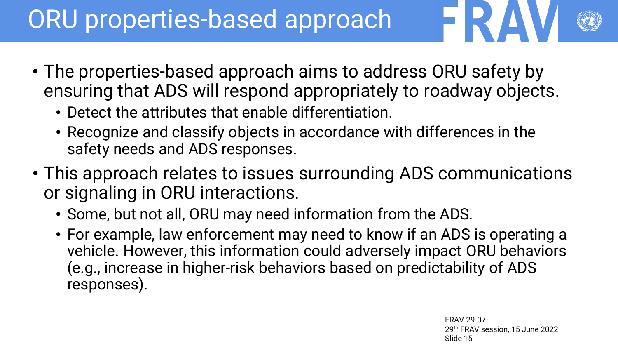### ORU properties-based approach

- 
- The properties-based approach aims to address ORU safety by ensuring that ADS will respond appropriately to roadway objects.
	- Detect the attributes that enable differentiation.
	- Recognize and classify objects in accordance with differences in the safety needs and ADS responses.
- This approach relates to issues surrounding ADS communications or signaling in ORU interactions.
	- Some, but not all, ORU may need information from the ADS.
	- For example, law enforcement may need to know if an ADS is operating a vehicle. However, this information could adversely impact ORU behaviors (e.g., increase in higher-risk behaviors based on predictability of ADS responses).